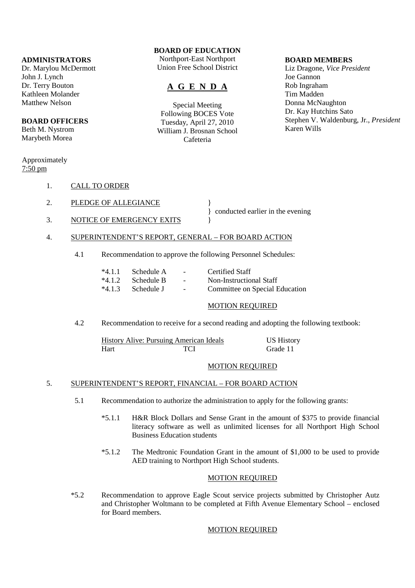#### **ADMINISTRATORS**

Dr. Marylou McDermott John J. Lynch Dr. Terry Bouton Kathleen Molander Matthew Nelson

#### **BOARD OFFICERS**

Beth M. Nystrom Marybeth Morea

#### Approximately 7:50 pm

- 1. CALL TO ORDER
- 2. PLEDGE OF ALLEGIANCE
	- } conducted earlier in the evening
- 3. NOTICE OF EMERGENCY EXITS
- 4. SUPERINTENDENT'S REPORT, GENERAL FOR BOARD ACTION
	- 4.1 Recommendation to approve the following Personnel Schedules:

| $*4.1.1$ Schedule A - |                            | Certified Staff                |
|-----------------------|----------------------------|--------------------------------|
| $*4.1.2$ Schedule B   | and the state of the state | Non-Instructional Staff        |
| $*4.1.3$ Schedule J - |                            | Committee on Special Education |

# MOTION REQUIRED

4.2 Recommendation to receive for a second reading and adopting the following textbook:

|      | <b>History Alive: Pursuing American Ideals</b> | <b>US History</b> |
|------|------------------------------------------------|-------------------|
| Hart | TCI                                            | Grade 11          |

#### MOTION REQUIRED

# 5. SUPERINTENDENT'S REPORT, FINANCIAL – FOR BOARD ACTION

- 5.1 Recommendation to authorize the administration to apply for the following grants:
	- \*5.1.1 H&R Block Dollars and Sense Grant in the amount of \$375 to provide financial literacy software as well as unlimited licenses for all Northport High School Business Education students
	- \*5.1.2 The Medtronic Foundation Grant in the amount of \$1,000 to be used to provide AED training to Northport High School students.

#### MOTION REQUIRED

 \*5.2 Recommendation to approve Eagle Scout service projects submitted by Christopher Autz and Christopher Woltmann to be completed at Fifth Avenue Elementary School – enclosed for Board members.

#### MOTION REQUIRED

**BOARD OF EDUCATION**

Northport-East Northport Union Free School District

# **A G E N D A**

Special Meeting Following BOCES Vote Tuesday, April 27, 2010 William J. Brosnan School Cafeteria

#### **BOARD MEMBERS**

Liz Dragone, *Vice President* Joe Gannon Rob Ingraham Tim Madden Donna McNaughton Dr. Kay Hutchins Sato Stephen V. Waldenburg, Jr., *President* Karen Wills